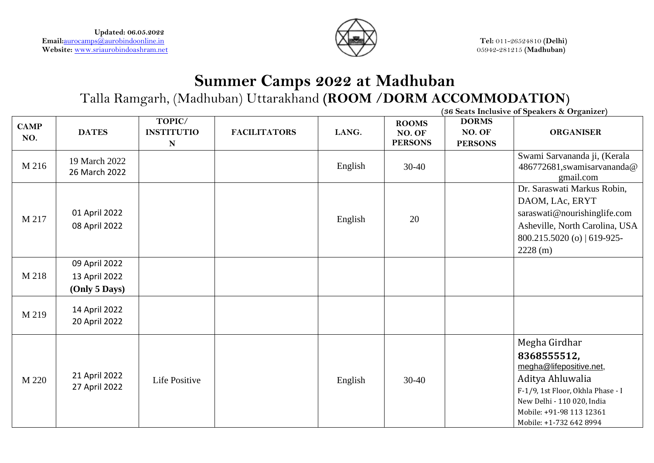

# **Summer Camps 2022 at Madhuban** Talla Ramgarh, (Madhuban) Uttarakhand **(ROOM /DORM ACCOMMODATION)**

**(36 Seats Inclusive of Speakers & Organizer) CAMP NO. DATES TOPIC/ INSTITUTIO N FACILITATORS LANG. ROOMS NO. OF PERSONS DORMS NO. OF PERSONS ORGANISER** M 216 19 March 2022 26 March 2022 English  $30-40$ Swami Sarvananda ji, (Kerala 486772681,swamisarvananda@ gmail.com M 217 01 April 2022 08 April 2022 English 20 Dr. Saraswati Markus Robin, DAOM, LAc, ERYT saraswati@nourishinglife.com Asheville, North Carolina, USA 800.215.5020 (o) | 619-925- 2228 (m) M 218 09 April 2022 13 April 2022 **(Only 5 Days)**  $M 219$  14 April 2022 20 April 2022 M 220 21 April 2022 21 April 2022 Life Positive  $\begin{array}{|c|c|c|c|c|c|c|c|c|} \hline \end{array}$  English 30-40 Megha Girdhar **8368555512,** [megha@lifepositive.net,](mailto:megha@lifepositive.net) Aditya Ahluwalia F-1/9, 1st Floor, Okhla Phase - I New Delhi - 110 020, India Mobile: +91-98 113 12361 Mobile: +1-732 642 8994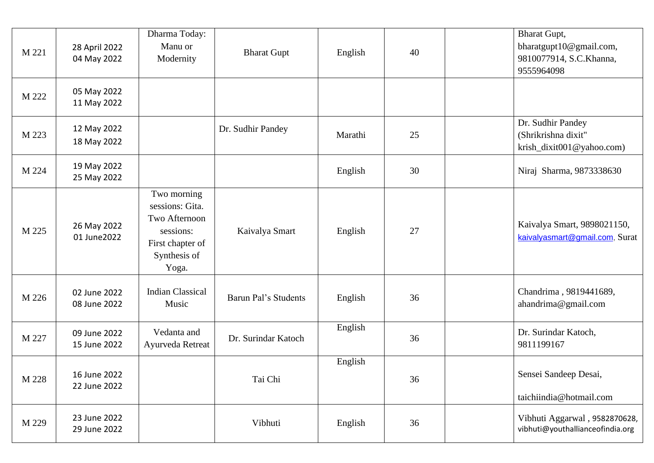| M 221 | 28 April 2022<br>04 May 2022 | Dharma Today:<br>Manu or<br>Modernity                                                                     | <b>Bharat Gupt</b>   | English | 40 | <b>Bharat Gupt,</b><br>bharatgupt10@gmail.com,<br>9810077914, S.C.Khanna,<br>9555964098 |
|-------|------------------------------|-----------------------------------------------------------------------------------------------------------|----------------------|---------|----|-----------------------------------------------------------------------------------------|
| M 222 | 05 May 2022<br>11 May 2022   |                                                                                                           |                      |         |    |                                                                                         |
| M 223 | 12 May 2022<br>18 May 2022   |                                                                                                           | Dr. Sudhir Pandey    | Marathi | 25 | Dr. Sudhir Pandey<br>(Shrikrishna dixit"<br>krish_dixit001@yahoo.com)                   |
| M 224 | 19 May 2022<br>25 May 2022   |                                                                                                           |                      | English | 30 | Niraj Sharma, 9873338630                                                                |
| M 225 | 26 May 2022<br>01 June2022   | Two morning<br>sessions: Gita.<br>Two Afternoon<br>sessions:<br>First chapter of<br>Synthesis of<br>Yoga. | Kaivalya Smart       | English | 27 | Kaivalya Smart, 9898021150,<br>kaivalyasmart@gmail.com, Surat                           |
| M 226 | 02 June 2022<br>08 June 2022 | <b>Indian Classical</b><br>Music                                                                          | Barun Pal's Students | English | 36 | Chandrima, 9819441689,<br>ahandrima@gmail.com                                           |
| M 227 | 09 June 2022<br>15 June 2022 | Vedanta and<br>Ayurveda Retreat                                                                           | Dr. Surindar Katoch  | English | 36 | Dr. Surindar Katoch,<br>9811199167                                                      |
| M 228 | 16 June 2022<br>22 June 2022 |                                                                                                           | Tai Chi              | English | 36 | Sensei Sandeep Desai,<br>taichiindia@hotmail.com                                        |
| M 229 | 23 June 2022<br>29 June 2022 |                                                                                                           | Vibhuti              | English | 36 | Vibhuti Aggarwal, 9582870628,<br>vibhuti@youthallianceofindia.org                       |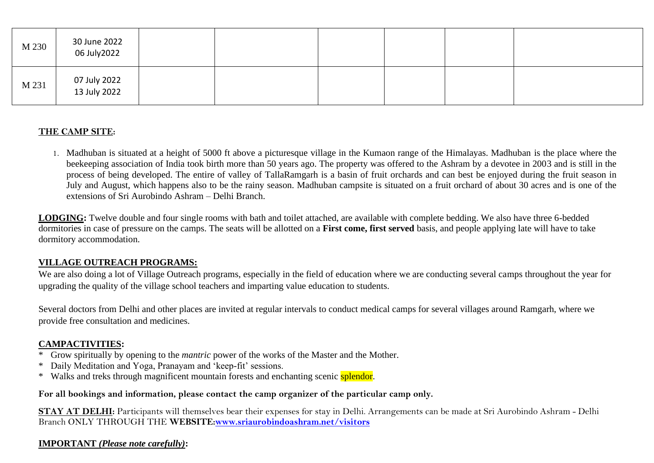| M 230 | 30 June 2022<br>06 July 2022 |  |  |  |
|-------|------------------------------|--|--|--|
| M 231 | 07 July 2022<br>13 July 2022 |  |  |  |

#### **THE CAMP SITE:**

1. Madhuban is situated at a height of 5000 ft above a picturesque village in the Kumaon range of the Himalayas. Madhuban is the place where the beekeeping association of India took birth more than 50 years ago. The property was offered to the Ashram by a devotee in 2003 and is still in the process of being developed. The entire of valley of TallaRamgarh is a basin of fruit orchards and can best be enjoyed during the fruit season in July and August, which happens also to be the rainy season. Madhuban campsite is situated on a fruit orchard of about 30 acres and is one of the extensions of Sri Aurobindo Ashram – Delhi Branch.

**LODGING:** Twelve double and four single rooms with bath and toilet attached, are available with complete bedding. We also have three 6-bedded dormitories in case of pressure on the camps. The seats will be allotted on a **First come, first served** basis, and people applying late will have to take dormitory accommodation.

#### **VILLAGE OUTREACH PROGRAMS:**

We are also doing a lot of Village Outreach programs, especially in the field of education where we are conducting several camps throughout the year for upgrading the quality of the village school teachers and imparting value education to students.

Several doctors from Delhi and other places are invited at regular intervals to conduct medical camps for several villages around Ramgarh, where we provide free consultation and medicines.

#### **CAMPACTIVITIES:**

- \* Grow spiritually by opening to the *mantric* power of the works of the Master and the Mother.
- \* Daily Meditation and Yoga, Pranayam and 'keep-fit' sessions.
- \* Walks and treks through magnificent mountain forests and enchanting scenic splendor.

#### **For all bookings and information, please contact the camp organizer of the particular camp only.**

**STAY AT DELHI:** Participants will themselves bear their expenses for stay in Delhi. Arrangements can be made at Sri Aurobindo Ashram - Delhi Branch ONLY THROUGH THE **WEBSITE[:www.sriaurobindoashram.net/visitors](http://www.sriaurobindoashram.net/visitors)**

#### **IMPORTANT** *(Please note carefully)***:**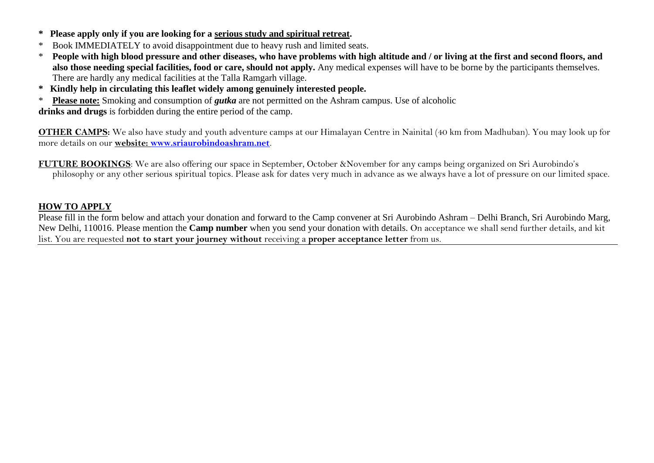- **\* Please apply only if you are looking for a serious study and spiritual retreat.**
- \* Book IMMEDIATELY to avoid disappointment due to heavy rush and limited seats.
- \* **People with high blood pressure and other diseases, who have problems with high altitude and / or living at the first and second floors, and also those needing special facilities, food or care, should not apply.** Any medical expenses will have to be borne by the participants themselves. There are hardly any medical facilities at the Talla Ramgarh village.
- **\* Kindly help in circulating this leaflet widely among genuinely interested people.**
- \* **Please note:** Smoking and consumption of *gutka* are not permitted on the Ashram campus. Use of alcoholic

**drinks and drugs** is forbidden during the entire period of the camp.

**OTHER CAMPS:** We also have study and youth adventure camps at our Himalayan Centre in Nainital (40 km from Madhuban). You may look up for more details on our **website: [www.sriaurobindoashram.net](http://www.sriaurobindoashram.net/)**.

**FUTURE BOOKINGS**: We are also offering our space in September, October &November for any camps being organized on Sri Aurobindo's philosophy or any other serious spiritual topics. Please ask for dates very much in advance as we always have a lot of pressure on our limited space.

#### **HOW TO APPLY**

Please fill in the form below and attach your donation and forward to the Camp convener at Sri Aurobindo Ashram – Delhi Branch, Sri Aurobindo Marg, New Delhi, 110016. Please mention the **Camp number** when you send your donation with details. On acceptance we shall send further details, and kit list. You are requested **not to start your journey without** receiving a **proper acceptance letter** from us.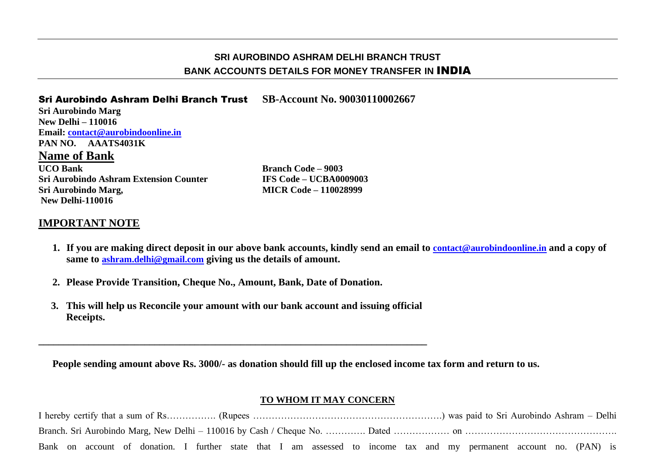# **SRI AUROBINDO ASHRAM DELHI BRANCH TRUST BANK ACCOUNTS DETAILS FOR MONEY TRANSFER IN** INDIA

### Sri Aurobindo Ashram Delhi Branch Trust **SB-Account No. 90030110002667**

**Sri Aurobindo Marg New Delhi – 110016 Email: [contact@aurobindoonline.in](mailto:contact@aurobindoonline.in) PAN NO. AAATS4031K Name of Bank**

**UCO Bank Branch Code – 9003 Sri Aurobindo Ashram Extension Counter IFS Code – UCBA0009003 Sri Aurobindo Marg, MICR Code – 110028999 New Delhi-110016**

## **IMPORTANT NOTE**

- **1. If you are making direct deposit in our above bank accounts, kindly send an email to [contact@aurobindoonline.in](mailto:contact@aurobindoonline.in) and a copy of same to ashram.delhi@gmail.com giving us the details of amount.**
- **2. Please Provide Transition, Cheque No., Amount, Bank, Date of Donation.**
- **3. This will help us Reconcile your amount with our bank account and issuing official Receipts.**

**\_\_\_\_\_\_\_\_\_\_\_\_\_\_\_\_\_\_\_\_\_\_\_\_\_\_\_\_\_\_\_\_\_\_\_\_\_\_\_\_\_\_\_\_\_\_\_\_\_\_\_\_\_\_\_\_\_\_\_\_\_\_\_\_\_\_\_\_\_\_\_\_\_\_\_\_\_**

**People sending amount above Rs. 3000/- as donation should fill up the enclosed income tax form and return to us.** 

#### **TO WHOM IT MAY CONCERN**

I hereby certify that a sum of Rs……………. (Rupees …………………………………………………….) was paid to Sri Aurobindo Ashram – Delhi Branch. Sri Aurobindo Marg, New Delhi – 110016 by Cash / Cheque No. …………. Dated ……………… on …………………………………………. Bank on account of donation. I further state that I am assessed to income tax and my permanent account no. (PAN) is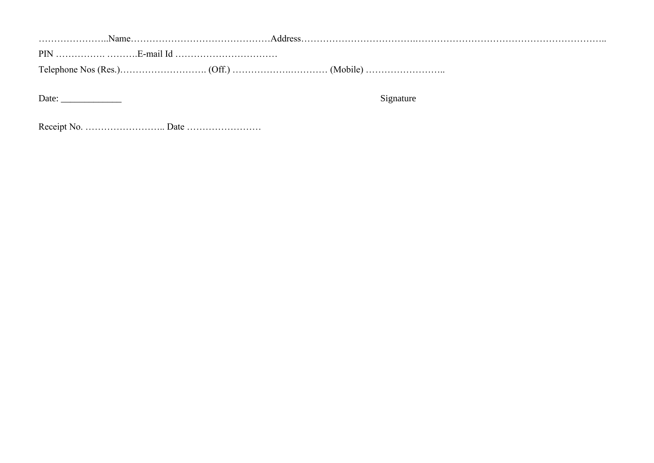…………………..Name………………………………………Address……………………………….…………………………………………………….. PIN ……………. ……….E-mail Id …………………………… Telephone Nos (Res.)………………………. (Off.) ……………….………… (Mobile) ……………………..

Date: \_\_\_\_\_\_\_\_\_\_\_\_\_ Signature

Receipt No. …………………….. Date ……………………